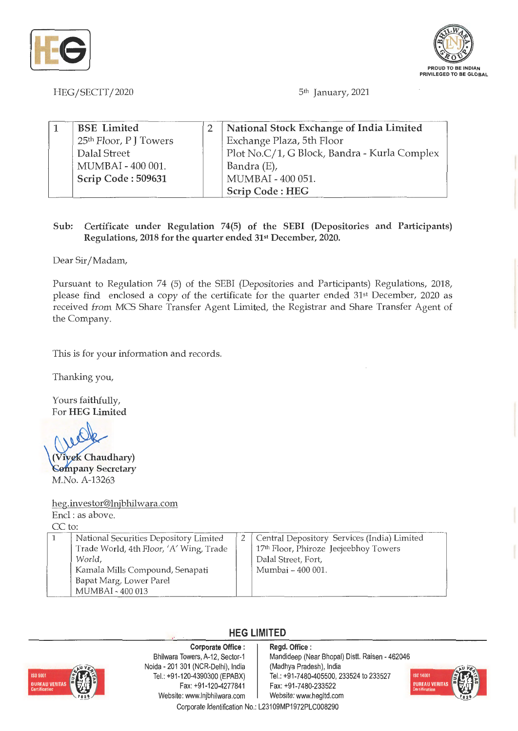



HEG/SECTT/2020 5<sup>th</sup> January, 2021

| <b>BSE</b> Limited     | National Stock Exchange of India Limited     |
|------------------------|----------------------------------------------|
| 25th Floor, P J Towers | Exchange Plaza, 5th Floor                    |
| Dalal Street           | Plot No.C/1, G Block, Bandra - Kurla Complex |
| MUMBAI - 400 001.      | Bandra (E),                                  |
| Scrip Code: 509631     | MUMBAI - 400 051.                            |
|                        | Scrip Code: HEG                              |

### **Sub: Certificate under Regulation 74(5) of the SEBI (Depositories and Participants) Regulations, 2018 for the quarter ended 31st December, 2020.**

Dear Sir/ Madam,

Pursuant to Regulation 74 (5) of the SEBI (Depositories and Participants) Regulations, 2018, please find enclosed a copy of the certificate for the quarter ended 31st December, 2020 as received from MCS Share Transfer Agent Limited, the Registrar and Share Transfer Agent of the Company.

This is for your information and records.

Thanking you,

Yours faithfully, For **HEG Limited** 

**Vivek Chaudhary**) **Company Secretary** M.No. A-13263

h\_eg.investor@lnjbhilwara.com Encl : as above.  $CC$  to:

|  | National Securities Depository Limited  |  | 2   Central Depository Services (India) Limited   |  |  |
|--|-----------------------------------------|--|---------------------------------------------------|--|--|
|  | Trade World, 4th Floor, 'A' Wing, Trade |  | 17 <sup>th</sup> Floor, Phiroze Jeejeebhoy Towers |  |  |
|  | World.                                  |  | Dalal Street, Fort,                               |  |  |
|  | Kamala Mills Compound, Senapati         |  | Mumbai - 400 001.                                 |  |  |
|  | Bapat Marg, Lower Parel                 |  |                                                   |  |  |
|  | MUMBAI - 400 013                        |  |                                                   |  |  |

## **HEG LIMITED**



**Corporate Office** : Bhilwara Towers, A-12, Sector-1 Noida - 201 301 (NCR-Delhi), India Tel.: +91 -120-4390300 (EPABX) Fax: +91-120-4277841 Website: www.lnjbhilwara.com | Website: www.hegltd.com

#### **Regd. Office** : Mandideep (Near Bhopal) Distt. Raisen - 462046 (Madhya Pradesh), India Tel.: +91 -7480-405500, 233524 to 233527 Fax: +91-7480-233522



Corporate Identification No.: L23109MP1972PLC008290